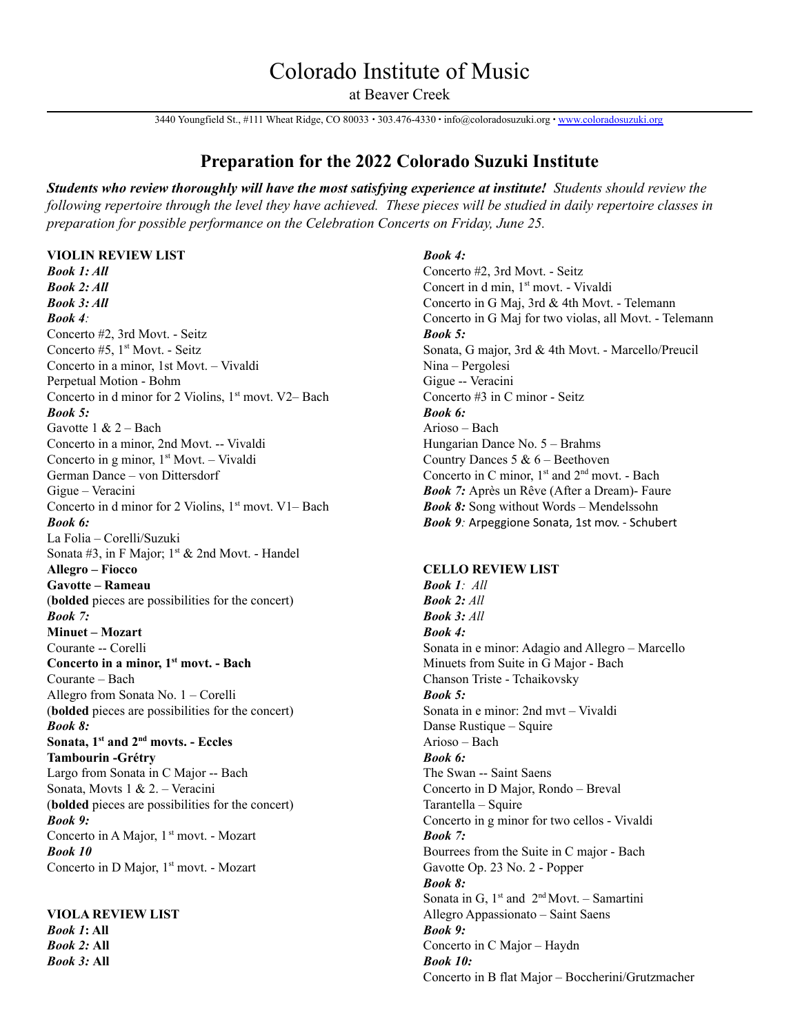# Colorado Institute of Music

at Beaver Creek

3440 Youngfield St., #111 Wheat Ridge, CO 80033 ∙ 303.476-4330 ∙ info@coloradosuzuki.org ∙ [www.coloradosuzuki.org](http://www.coloradosuzuki.org)

## **Preparation for the 2022 Colorado Suzuki Institute**

*Students who review thoroughly will have the most satisfying experience at institute! Students should review the* following repertoire through the level they have achieved. These pieces will be studied in daily repertoire classes in *preparation for possible performance on the Celebration Concerts on Friday, June 25.*

### **VIOLIN REVIEW LIST**

*Book 1: All Book 2: All Book 3: All Book 4:* Concerto #2, 3rd Movt. - Seitz Concerto #5, 1<sup>st</sup> Movt. - Seitz Concerto in a minor, 1st Movt. – Vivaldi Perpetual Motion - Bohm Concerto in d minor for 2 Violins,  $1<sup>st</sup>$  movt. V2– Bach *Book 5:* Gavotte 1 & 2 – Bach Concerto in a minor, 2nd Movt. -- Vivaldi Concerto in g minor, 1<sup>st</sup> Movt. - Vivaldi German Dance – von Dittersdorf Gigue – Veracini Concerto in d minor for 2 Violins,  $1<sup>st</sup>$  movt. V1– Bach *Book 6:* La Folia – Corelli/Suzuki Sonata #3, in F Major;  $1<sup>st</sup>$  & 2nd Movt. - Handel **Allegro – Fiocco Gavotte – Rameau** (**bolded** pieces are possibilities for the concert) *Book 7:* **Minuet – Mozart** Courante -- Corelli **Concerto in a minor, 1 st movt. - Bach** Courante – Bach Allegro from Sonata No. 1 – Corelli (**bolded** pieces are possibilities for the concert) *Book 8:* **Sonata, 1 st and 2 nd movts. - Eccles Tambourin -Grétry** Largo from Sonata in C Major -- Bach Sonata, Movts 1 & 2. – Veracini (**bolded** pieces are possibilities for the concert) *Book 9:* Concerto in A Major, 1<sup>st</sup> movt. - Mozart *Book 10* Concerto in D Major, 1<sup>st</sup> movt. - Mozart

**VIOLA REVIEW LIST** *Book 1***: All** *Book 2:* **All** *Book 3:* **All**

#### *Book 4:*

Concerto #2, 3rd Movt. - Seitz Concert in d min, 1 st movt. - Vivaldi Concerto in G Maj, 3rd & 4th Movt. - Telemann Concerto in G Maj for two violas, all Movt. - Telemann *Book 5:* Sonata, G major, 3rd & 4th Movt. - Marcello/Preucil Nina – Pergolesi Gigue -- Veracini Concerto #3 in C minor - Seitz *Book 6:* Arioso – Bach Hungarian Dance No. 5 – Brahms Country Dances 5 & 6 – Beethoven Concerto in C minor,  $1<sup>st</sup>$  and  $2<sup>nd</sup>$  movt. - Bach *Book 7:* Après un Rêve (After a Dream)- Faure *Book 8:* Song without Words – Mendelssohn *Book 9:* Arpeggione Sonata, 1st mov. - Schubert

#### **CELLO REVIEW LIST**

*Book 1: All Book 2: All Book 3: All Book 4:* Sonata in e minor: Adagio and Allegro – Marcello Minuets from Suite in G Major - Bach Chanson Triste - Tchaikovsky *Book 5:* Sonata in e minor: 2nd mvt – Vivaldi Danse Rustique – Squire Arioso – Bach *Book 6:* The Swan -- Saint Saens Concerto in D Major, Rondo – Breval Tarantella – Squire Concerto in g minor for two cellos - Vivaldi *Book 7:* Bourrees from the Suite in C major - Bach Gavotte Op. 23 No. 2 - Popper *Book 8:* Sonata in G,  $1<sup>st</sup>$  and  $2<sup>nd</sup>$  Movt. – Samartini Allegro Appassionato – Saint Saens *Book 9:* Concerto in C Major – Haydn *Book 10:* Concerto in B flat Major – Boccherini/Grutzmacher